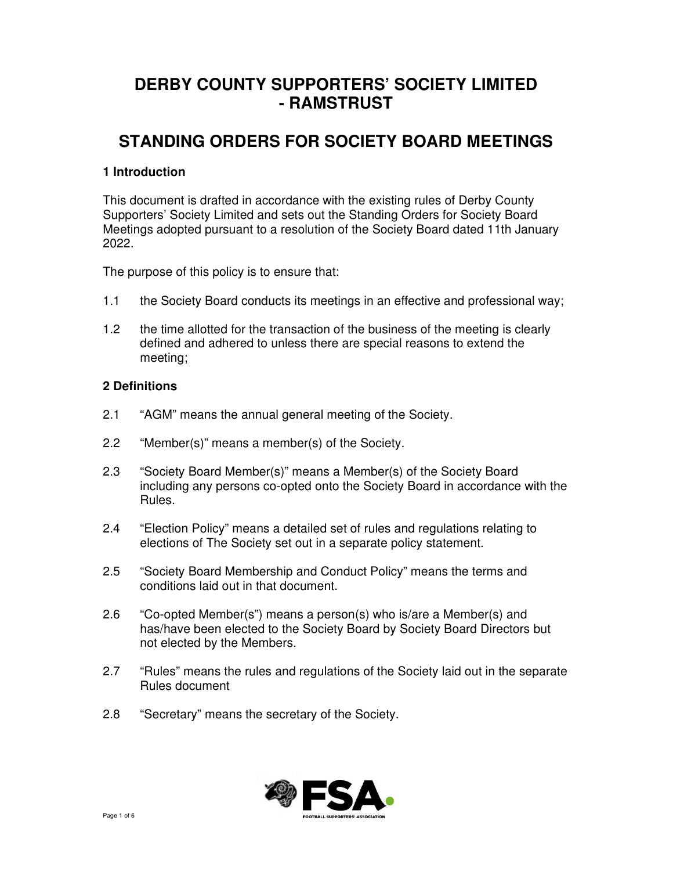# **DERBY COUNTY SUPPORTERS' SOCIETY LIMITED - RAMSTRUST**

# **STANDING ORDERS FOR SOCIETY BOARD MEETINGS**

# **1 Introduction**

This document is drafted in accordance with the existing rules of Derby County Supporters' Society Limited and sets out the Standing Orders for Society Board Meetings adopted pursuant to a resolution of the Society Board dated 11th January 2022.

The purpose of this policy is to ensure that:

- 1.1 the Society Board conducts its meetings in an effective and professional way;
- 1.2 the time allotted for the transaction of the business of the meeting is clearly defined and adhered to unless there are special reasons to extend the meeting;

#### **2 Definitions**

- 2.1 "AGM" means the annual general meeting of the Society.
- 2.2 "Member(s)" means a member(s) of the Society.
- 2.3 "Society Board Member(s)" means a Member(s) of the Society Board including any persons co-opted onto the Society Board in accordance with the Rules.
- 2.4 "Election Policy" means a detailed set of rules and regulations relating to elections of The Society set out in a separate policy statement.
- 2.5 "Society Board Membership and Conduct Policy" means the terms and conditions laid out in that document.
- 2.6 "Co-opted Member(s") means a person(s) who is/are a Member(s) and has/have been elected to the Society Board by Society Board Directors but not elected by the Members.
- 2.7 "Rules" means the rules and regulations of the Society laid out in the separate Rules document
- 2.8 "Secretary" means the secretary of the Society.

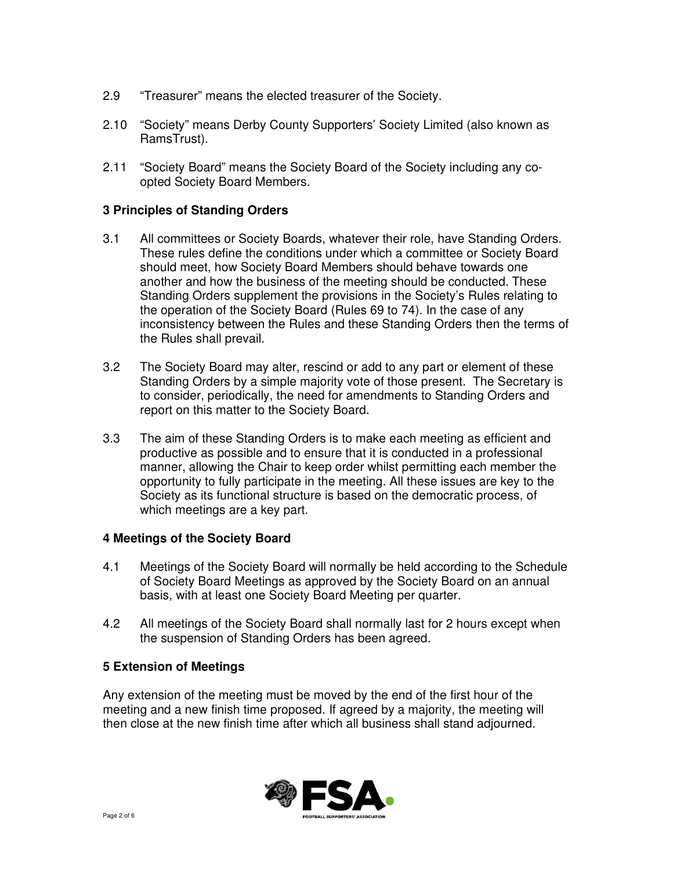- 2.9 "Treasurer" means the elected treasurer of the Society.
- 2.10 "Society" means Derby County Supporters' Society Limited (also known as RamsTrust).
- 2.11 "Society Board" means the Society Board of the Society including any co opted Society Board Members.

# **3 Principles of Standing Orders**

- 3.1 All committees or Society Boards, whatever their role, have Standing Orders. These rules define the conditions under which a committee or Society Board should meet, how Society Board Members should behave towards one another and how the business of the meeting should be conducted. These Standing Orders supplement the provisions in the Society's Rules relating to the operation of the Society Board (Rules 69 to 74). In the case of any inconsistency between the Rules and these Standing Orders then the terms of the Rules shall prevail.
- 3.2 The Society Board may alter, rescind or add to any part or element of these Standing Orders by a simple majority vote of those present. The Secretary is to consider, periodically, the need for amendments to Standing Orders and report on this matter to the Society Board.
- 3.3 The aim of these Standing Orders is to make each meeting as efficient and productive as possible and to ensure that it is conducted in a professional manner, allowing the Chair to keep order whilst permitting each member the opportunity to fully participate in the meeting. All these issues are key to the Society as its functional structure is based on the democratic process, of which meetings are a key part.

#### **4 Meetings of the Society Board**

- 4.1 Meetings of the Society Board will normally be held according to the Schedule of Society Board Meetings as approved by the Society Board on an annual basis, with at least one Society Board Meeting per quarter.
- 4.2 All meetings of the Society Board shall normally last for 2 hours except when the suspension of Standing Orders has been agreed.

#### **5 Extension of Meetings**

Any extension of the meeting must be moved by the end of the first hour of the meeting and a new finish time proposed. If agreed by a majority, the meeting will then close at the new finish time after which all business shall stand adjourned.

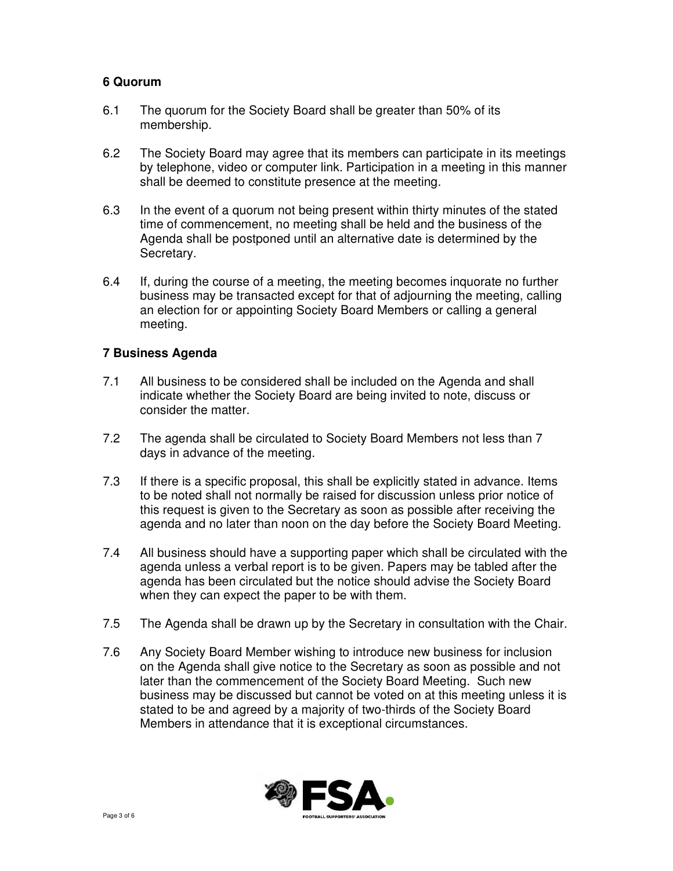# **6 Quorum**

- 6.1 The quorum for the Society Board shall be greater than 50% of its membership.
- 6.2 The Society Board may agree that its members can participate in its meetings by telephone, video or computer link. Participation in a meeting in this manner shall be deemed to constitute presence at the meeting.
- 6.3 In the event of a quorum not being present within thirty minutes of the stated time of commencement, no meeting shall be held and the business of the Agenda shall be postponed until an alternative date is determined by the Secretary.
- 6.4 If, during the course of a meeting, the meeting becomes inquorate no further business may be transacted except for that of adjourning the meeting, calling an election for or appointing Society Board Members or calling a general meeting.

#### **7 Business Agenda**

- 7.1 All business to be considered shall be included on the Agenda and shall indicate whether the Society Board are being invited to note, discuss or consider the matter.
- 7.2 The agenda shall be circulated to Society Board Members not less than 7 days in advance of the meeting.
- 7.3 If there is a specific proposal, this shall be explicitly stated in advance. Items to be noted shall not normally be raised for discussion unless prior notice of this request is given to the Secretary as soon as possible after receiving the agenda and no later than noon on the day before the Society Board Meeting.
- 7.4 All business should have a supporting paper which shall be circulated with the agenda unless a verbal report is to be given. Papers may be tabled after the agenda has been circulated but the notice should advise the Society Board when they can expect the paper to be with them.
- 7.5 The Agenda shall be drawn up by the Secretary in consultation with the Chair.
- 7.6 Any Society Board Member wishing to introduce new business for inclusion on the Agenda shall give notice to the Secretary as soon as possible and not later than the commencement of the Society Board Meeting. Such new business may be discussed but cannot be voted on at this meeting unless it is stated to be and agreed by a majority of two-thirds of the Society Board Members in attendance that it is exceptional circumstances.

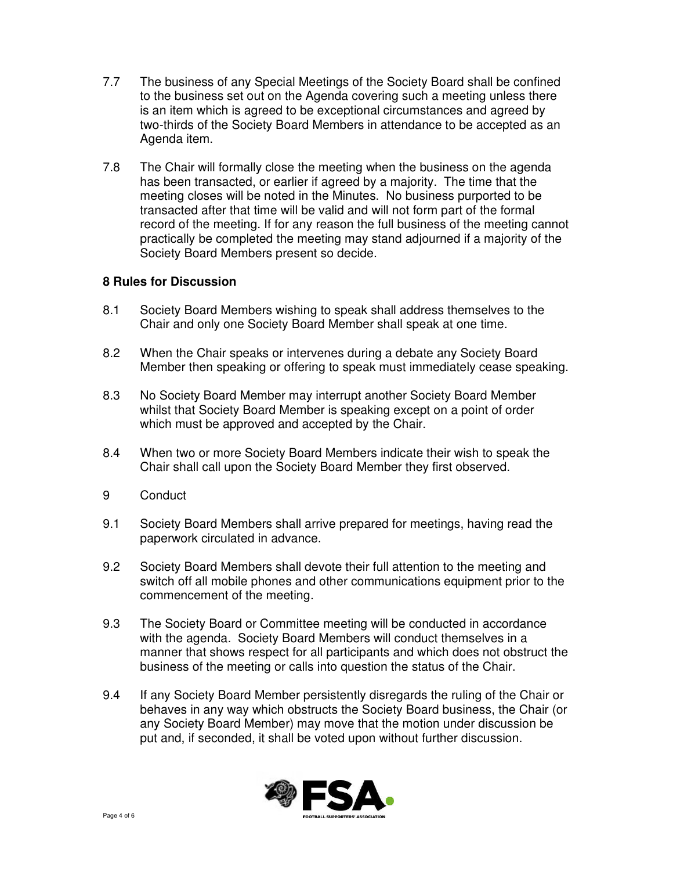- 7.7 The business of any Special Meetings of the Society Board shall be confined to the business set out on the Agenda covering such a meeting unless there is an item which is agreed to be exceptional circumstances and agreed by two-thirds of the Society Board Members in attendance to be accepted as an Agenda item.
- 7.8 The Chair will formally close the meeting when the business on the agenda has been transacted, or earlier if agreed by a majority. The time that the meeting closes will be noted in the Minutes. No business purported to be transacted after that time will be valid and will not form part of the formal record of the meeting. If for any reason the full business of the meeting cannot practically be completed the meeting may stand adjourned if a majority of the Society Board Members present so decide.

# **8 Rules for Discussion**

- 8.1 Society Board Members wishing to speak shall address themselves to the Chair and only one Society Board Member shall speak at one time.
- 8.2 When the Chair speaks or intervenes during a debate any Society Board Member then speaking or offering to speak must immediately cease speaking.
- 8.3 No Society Board Member may interrupt another Society Board Member whilst that Society Board Member is speaking except on a point of order which must be approved and accepted by the Chair.
- 8.4 When two or more Society Board Members indicate their wish to speak the Chair shall call upon the Society Board Member they first observed.
- 9 Conduct
- 9.1 Society Board Members shall arrive prepared for meetings, having read the paperwork circulated in advance.
- 9.2 Society Board Members shall devote their full attention to the meeting and switch off all mobile phones and other communications equipment prior to the commencement of the meeting.
- 9.3 The Society Board or Committee meeting will be conducted in accordance with the agenda. Society Board Members will conduct themselves in a manner that shows respect for all participants and which does not obstruct the business of the meeting or calls into question the status of the Chair.
- 9.4 If any Society Board Member persistently disregards the ruling of the Chair or behaves in any way which obstructs the Society Board business, the Chair (or any Society Board Member) may move that the motion under discussion be put and, if seconded, it shall be voted upon without further discussion.

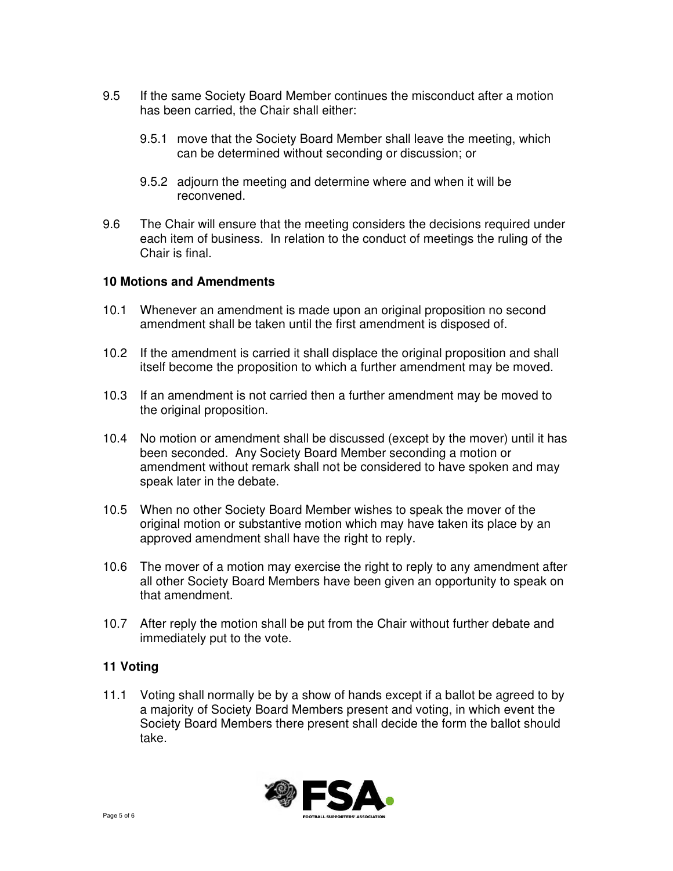- 9.5 If the same Society Board Member continues the misconduct after a motion has been carried, the Chair shall either:
	- 9.5.1 move that the Society Board Member shall leave the meeting, which can be determined without seconding or discussion; or
	- 9.5.2 adjourn the meeting and determine where and when it will be reconvened.
- 9.6 The Chair will ensure that the meeting considers the decisions required under each item of business. In relation to the conduct of meetings the ruling of the Chair is final.

#### **10 Motions and Amendments**

- 10.1 Whenever an amendment is made upon an original proposition no second amendment shall be taken until the first amendment is disposed of.
- 10.2 If the amendment is carried it shall displace the original proposition and shall itself become the proposition to which a further amendment may be moved.
- 10.3 If an amendment is not carried then a further amendment may be moved to the original proposition.
- 10.4 No motion or amendment shall be discussed (except by the mover) until it has been seconded. Any Society Board Member seconding a motion or amendment without remark shall not be considered to have spoken and may speak later in the debate.
- 10.5 When no other Society Board Member wishes to speak the mover of the original motion or substantive motion which may have taken its place by an approved amendment shall have the right to reply.
- 10.6 The mover of a motion may exercise the right to reply to any amendment after all other Society Board Members have been given an opportunity to speak on that amendment.
- 10.7 After reply the motion shall be put from the Chair without further debate and immediately put to the vote.

#### **11 Voting**

11.1 Voting shall normally be by a show of hands except if a ballot be agreed to by a majority of Society Board Members present and voting, in which event the Society Board Members there present shall decide the form the ballot should take.